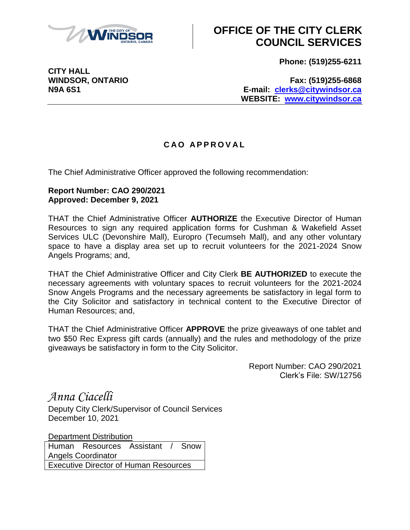

## **OFFICE OF THE CITY CLERK COUNCIL SERVICES**

**Phone: (519)255-6211**

**CITY HALL**

**WINDSOR, ONTARIO Fax: (519)255-6868 N9A 6S1 E-mail: [clerks@citywindsor.ca](mailto:clerks@citywindsor.ca) WEBSITE: [www.citywindsor.ca](http://www.citywindsor.ca/)**

## **C A O A P P R O V A L**

The Chief Administrative Officer approved the following recommendation:

## **Report Number: CAO 290/2021 Approved: December 9, 2021**

THAT the Chief Administrative Officer **AUTHORIZE** the Executive Director of Human Resources to sign any required application forms for Cushman & Wakefield Asset Services ULC (Devonshire Mall), Europro (Tecumseh Mall), and any other voluntary space to have a display area set up to recruit volunteers for the 2021-2024 Snow Angels Programs; and,

THAT the Chief Administrative Officer and City Clerk **BE AUTHORIZED** to execute the necessary agreements with voluntary spaces to recruit volunteers for the 2021-2024 Snow Angels Programs and the necessary agreements be satisfactory in legal form to the City Solicitor and satisfactory in technical content to the Executive Director of Human Resources; and,

THAT the Chief Administrative Officer **APPROVE** the prize giveaways of one tablet and two \$50 Rec Express gift cards (annually) and the rules and methodology of the prize giveaways be satisfactory in form to the City Solicitor.

> Report Number: CAO 290/2021 Clerk's File: SW/12756

*Anna Ciacelli*

Deputy City Clerk/Supervisor of Council Services December 10, 2021

Department Distribution Human Resources Assistant / Snow Angels Coordinator Executive Director of Human Resources